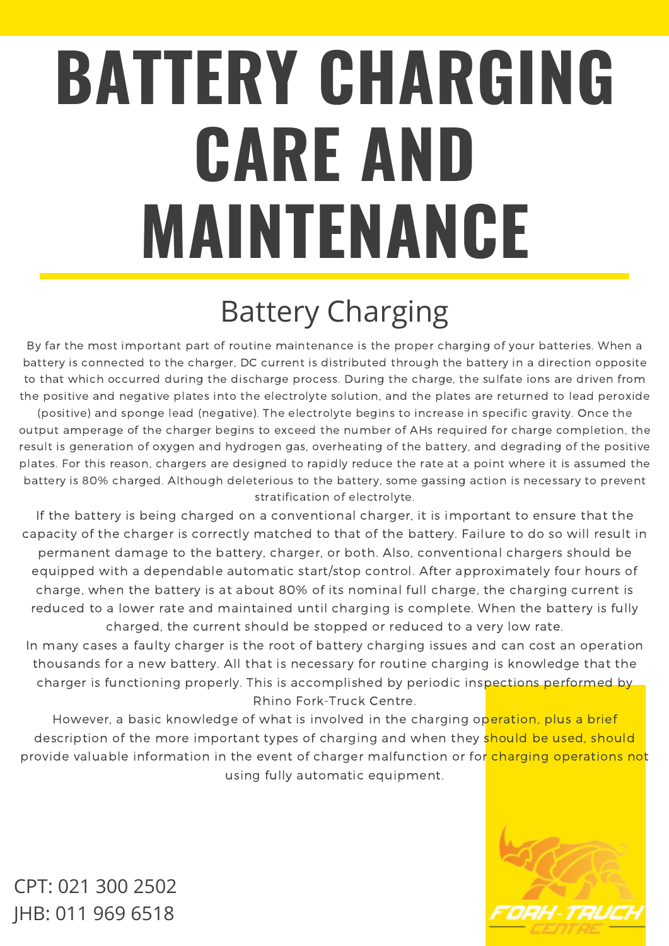# **BATTERY CHARGING CARE AND MAINTENANCE**

## Battery Charging

By far the most important part of routine maintenance is the proper charging of your batteries. When a battery is connected to the charger, DC current is distributed through the battery in a direction opposite to that which occurred during the discharge process. During the charge, the sulfate ions are driven from the positive and negative plates into the electrolyte solution, and the plates are returned to lead peroxide (positive) and sponge lead (negative). The electrolyte begins to increase in specific gravity. Once the output amperage of the charger begins to exceed the number of AHs required for charge completion, the result is generation of oxygen and hydrogen gas, overheating of the battery, and degrading of the positive plates. For this reason, chargers are designed to rapidly reduce the rate at a point where it is assumed the battery is 80% charged. Although deleterious to the battery, some gassing action is necessary to prevent stratification of electrolyte.

If the battery is being charged on a conventional charger, it is important to ensure that the capacity of the charger is correctly matched to that of the battery. Failure to do so will result in permanent damage to the battery, charger, or both. Also, conventional chargers should be equipped with a dependable automatic start/stop control. After approximately four hours of charge, when the battery is at about 80% of its nominal full charge, the charging current is reduced to a lower rate and maintained until charging is complete. When the battery is fully charged, the current should be stopped or reduced to a very low rate.

In many cases a faulty charger is the root of battery charging issues and can cost an operation thousands for a new battery. All that is necessary for routine charging is knowledge that the charger is functioning properly. This is accomplished by periodic inspections performed by Rhino Fork-Truck Centre.

However, a basic knowledge of what is involved in the charging operation, plus a brief description of the more important types of charging and when they should be used, should provide valuable information in the event of charger malfunction or for charging operations not using fully automatic equipment.

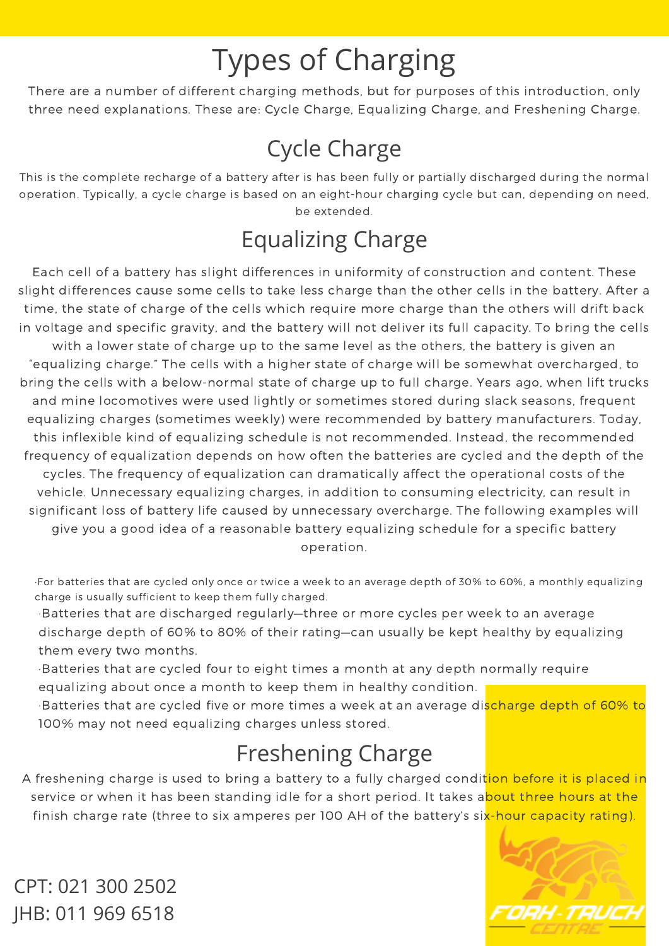## Types of Charging

There are a number of different charging methods, but for purposes of this introduction, only three need explanations. These are: Cycle Charge, Equalizing Charge, and Freshening Charge.

#### Cycle Charge

This is the complete recharge of a battery after is has been fully or partially discharged during the normal operation. Typically, a cycle charge is based on an eight-hour charging cycle but can, depending on need, be extended.

#### Equalizing Charge

Each cell of a battery has slight differences in uniformity of construction and content. These slight differences cause some cells to take less charge than the other cells in the battery. After a time, the state of charge of the cells which require more charge than the others will drift back in voltage and specific gravity, and the battery will not deliver its full capacity. To bring the cells with a lower state of charge up to the same level as the others, the battery is given an "equalizing charge." The cells with a higher state of charge will be somewhat overcharged, to bring the cells with a below-normal state of charge up to full charge. Years ago, when lift trucks and mine locomotives were used lightly or sometimes stored during slack seasons, frequent equalizing charges (sometimes weekly) were recommended by battery manufacturers. Today, this inflexible kind of equalizing schedule is not recommended. Instead, the recommended frequency of equalization depends on how often the batteries are cycled and the depth of the cycles. The frequency of equalization can dramatically affect the operational costs of the vehicle. Unnecessary equalizing charges, in addition to consuming electricity, can result in significant loss of battery life caused by unnecessary overcharge. The following examples will give you a good idea of a reasonable battery equalizing schedule for a specific battery operation.

·For batteries that are cycled only once or twice a week to an average depth of 30% to 60%, a monthly equalizing charge is usually sufficient to keep them fully charged.

·Batteries that are discharged regularly—three or more cycles per week to an average discharge depth of 60% to 80% of their rating—can usually be kept healthy by equalizing them every two months.

·Batteries that are cycled four to eight times a month at any depth normally require equalizing about once a month to keep them in healthy condition.

·Batteries that are cycled five or more times a week at an average discharge depth of 60% to 100% may not need equalizing charges unless stored.

#### Freshening Charge

A freshening charge is used to bring a battery to a fully charged condition before it is placed in service or when it has been standing idle for a short period. It takes about three hours at the finish charge rate (three to six amperes per 100 AH of the battery's six-hour capacity rating).

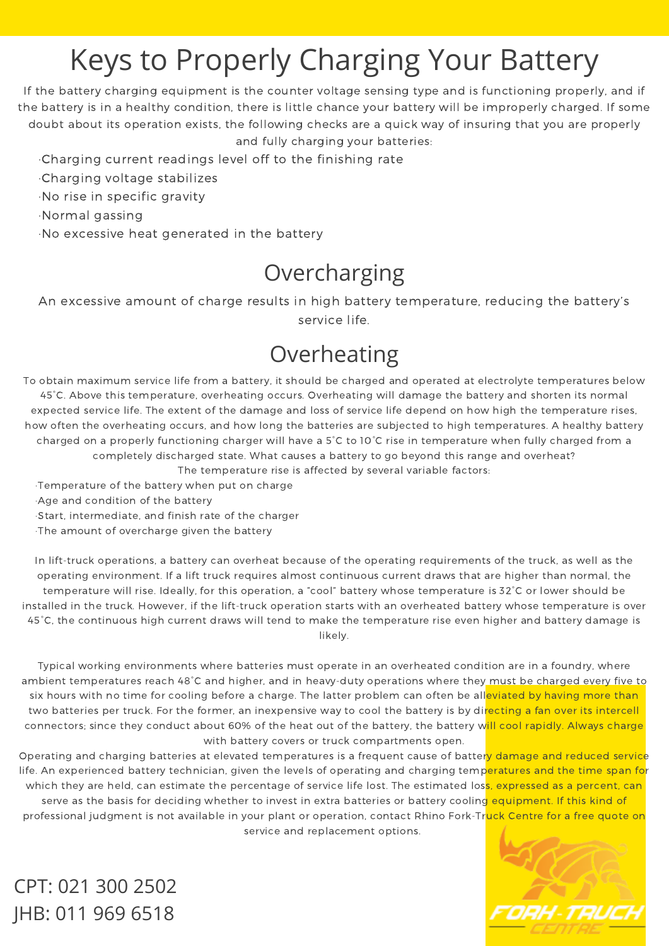## Keys to Properly Charging Your Battery

If the battery charging equipment is the counter voltage sensing type and is functioning properly, and if the battery is in a healthy condition, there is little chance your battery will be improperly charged. If some doubt about its operation exists, the following checks are a quick way of insuring that you are properly and fully charging your batteries:

·Charging current readings level off to the finishing rate

- ·Charging voltage stabilizes
- ·No rise in specific gravity
- ·Normal gassing
- ·No excessive heat generated in the battery

#### Overcharging

An excessive amount of charge results in high battery temperature, reducing the battery's service life.

#### Overheating

To obtain maximum service life from a battery, it should be charged and operated at electrolyte temperatures below 45°C. Above this temperature, overheating occurs. Overheating will damage the battery and shorten its normal expected service life. The extent of the damage and loss of service life depend on how high the temperature rises, how often the overheating occurs, and how long the batteries are subjected to high temperatures. A healthy battery charged on a properly functioning charger will have a 5°C to 10°C rise in temperature when fully charged from a completely discharged state. What causes a battery to go beyond this range and overheat?

The temperature rise is affected by several variable factors:

·Temperature of the battery when put on charge

·Age and condition of the battery

·Start, intermediate, and finish rate of the charger

·The amount of overcharge given the battery

In lift-truck operations, a battery can overheat because of the operating requirements of the truck, as well as the operating environment. If a lift truck requires almost continuous current draws that are higher than normal, the temperature will rise. Ideally, for this operation, a "cool" battery whose temperature is 32°C or lower should be installed in the truck. However, if the lift-truck operation starts with an overheated battery whose temperature is over 45°C, the continuous high current draws will tend to make the temperature rise even higher and battery damage is likely.

Typical working environments where batteries must operate in an overheated condition are in a foundry, where ambient temperatures reach 48°C and higher, and in heavy-duty operations where they must be charged every five to six hours with no time for cooling before a charge. The latter problem can often be alleviated by having more than two batteries per truck. For the former, an inexpensive way to cool the battery is by directing a fan over its intercell connectors; since they conduct about 60% of the heat out of the battery, the battery will cool rapidly. Always charge with battery covers or truck compartments open.

Operating and charging batteries at elevated temperatures is a frequent cause of battery damage and reduced service life. An experienced battery technician, given the levels of operating and charging temperatures and the time span for which they are held, can estimate the percentage of service life lost. The estimated loss, expressed as a percent, can serve as the basis for deciding whether to invest in extra batteries or battery cooling equipment. If this kind of professional judgment is not available in your plant or operation, contact Rhino Fork-Truck Centre for a free quote on service and replacement options.

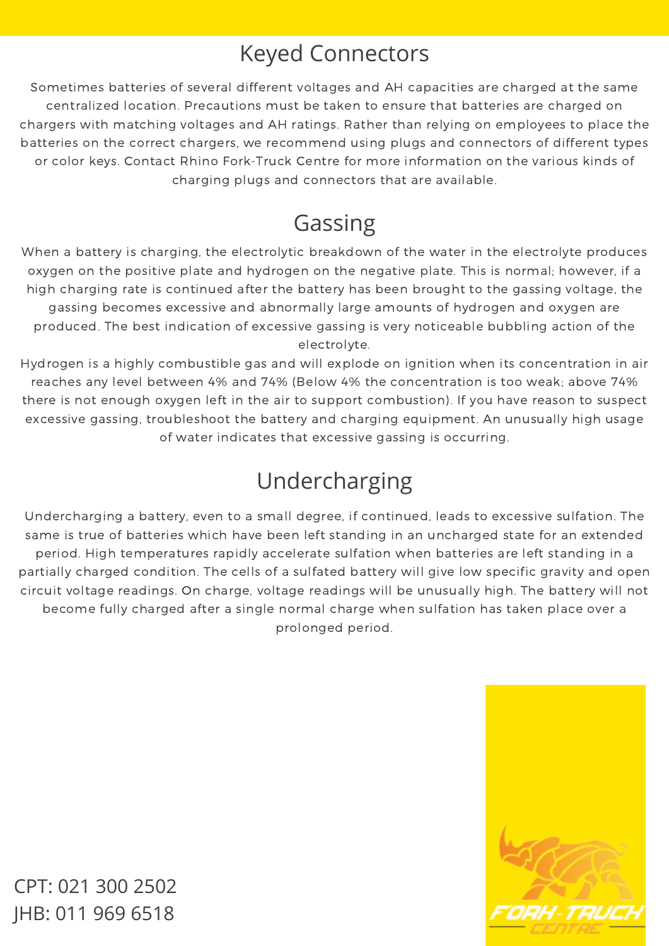#### Keyed Connectors

Sometimes batteries of several different voltages and AH capacities are charged at the same centralized location. Precautions must be taken to ensure that batteries are charged on chargers with matching voltages and AH ratings. Rather than relying on employees to place the batteries on the correct chargers, we recommend using plugs and connectors of different types or color keys. Contact Rhino Fork-Truck Centre for more information on the various kinds of charging plugs and connectors that are available.

#### Gassing

When a battery is charging, the electrolytic breakdown of the water in the electrolyte produces oxygen on the positive plate and hydrogen on the negative plate. This is normal; however, if a high charging rate is continued after the battery has been brought to the gassing voltage, the gassing becomes excessive and abnormally large amounts of hydrogen and oxygen are produced. The best indication of excessive gassing is very noticeable bubbling action of the electrolyte.

Hydrogen is a highly combustible gas and will explode on ignition when its concentration in air reaches any level between 4% and 74% (Below 4% the concentration is too weak; above 74% there is not enough oxygen left in the air to support combustion). If you have reason to suspect excessive gassing, troubleshoot the battery and charging equipment. An unusually high usage of water indicates that excessive gassing is occurring.

#### Undercharging

Undercharging a battery, even to a small degree, if continued, leads to excessive sulfation. The same is true of batteries which have been left standing in an uncharged state for an extended period. High temperatures rapidly accelerate sulfation when batteries are left standing in a partially charged condition. The cells of a sulfated battery will give low specific gravity and open circuit voltage readings. On charge, voltage readings will be unusually high. The battery will not become fully charged after a single normal charge when sulfation has taken place over a prolonged period.